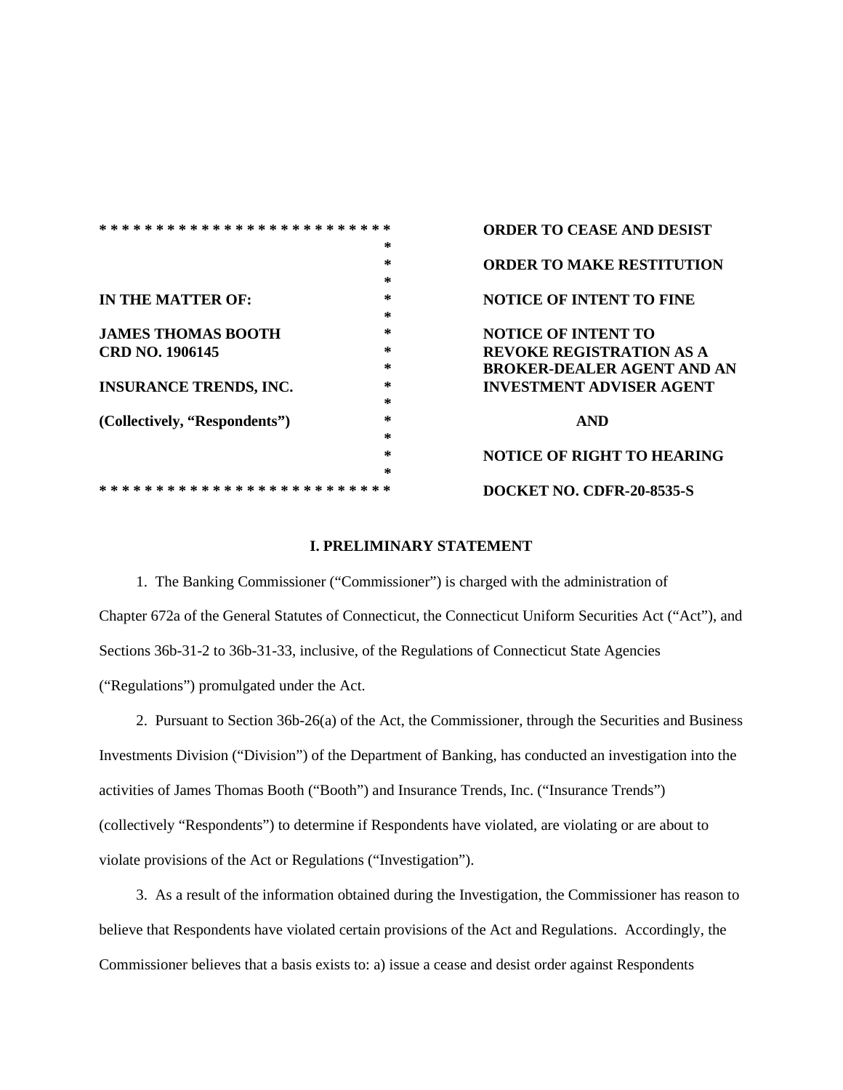|                                         |    | <b>ORDER TO CEASE AND DESIST</b>  |
|-----------------------------------------|----|-----------------------------------|
|                                         | *  |                                   |
|                                         | *  | <b>ORDER TO MAKE RESTITUTION</b>  |
|                                         | ∗  |                                   |
| IN THE MATTER OF:                       | ÷. | <b>NOTICE OF INTENT TO FINE</b>   |
|                                         | *  |                                   |
| <b>JAMES THOMAS BOOTH</b>               | *  | <b>NOTICE OF INTENT TO</b>        |
| CRD NO. 1906145                         | *  | <b>REVOKE REGISTRATION AS A</b>   |
|                                         | *  | <b>BROKER-DEALER AGENT AND AN</b> |
| <b>INSURANCE TRENDS, INC.</b>           | *  | <b>INVESTMENT ADVISER AGENT</b>   |
|                                         | *  |                                   |
| (Collectively, "Respondents")           | *  | <b>AND</b>                        |
|                                         | *  |                                   |
|                                         | *  | <b>NOTICE OF RIGHT TO HEARING</b> |
|                                         | *  |                                   |
| * * * * * * * * * * *<br>-*<br>ж.<br>-* |    | <b>DOCKET NO. CDFR-20-8535-S</b>  |

### **I. PRELIMINARY STATEMENT**

1. The Banking Commissioner ("Commissioner") is charged with the administration of Chapter 672a of the General Statutes of Connecticut, the Connecticut Uniform Securities Act ("Act"), and Sections 36b-31-2 to 36b-31-33, inclusive, of the Regulations of Connecticut State Agencies ("Regulations") promulgated under the Act.

2. Pursuant to Section 36b-26(a) of the Act, the Commissioner, through the Securities and Business Investments Division ("Division") of the Department of Banking, has conducted an investigation into the activities of James Thomas Booth ("Booth") and Insurance Trends, Inc. ("Insurance Trends") (collectively "Respondents") to determine if Respondents have violated, are violating or are about to violate provisions of the Act or Regulations ("Investigation").

3. As a result of the information obtained during the Investigation, the Commissioner has reason to believe that Respondents have violated certain provisions of the Act and Regulations. Accordingly, the Commissioner believes that a basis exists to: a) issue a cease and desist order against Respondents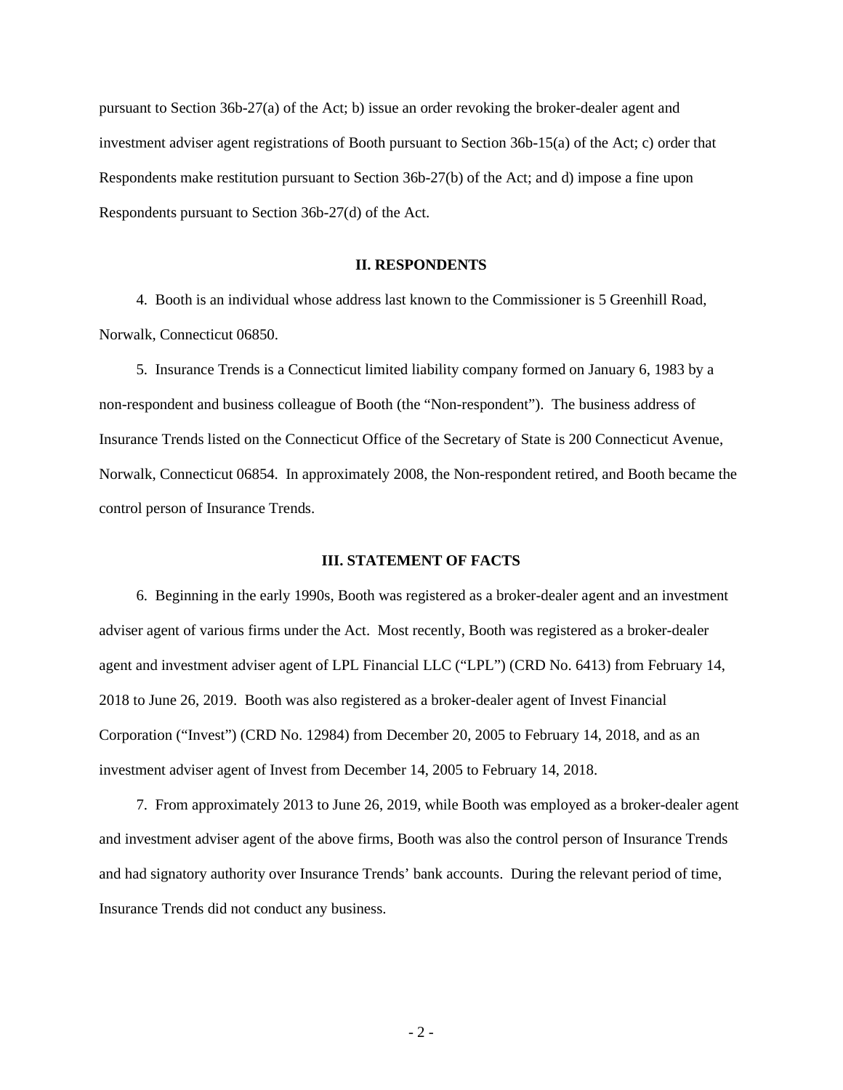pursuant to Section 36b-27(a) of the Act; b) issue an order revoking the broker-dealer agent and investment adviser agent registrations of Booth pursuant to Section 36b-15(a) of the Act; c) order that Respondents make restitution pursuant to Section 36b-27(b) of the Act; and d) impose a fine upon Respondents pursuant to Section 36b-27(d) of the Act.

### **II. RESPONDENTS**

4. Booth is an individual whose address last known to the Commissioner is 5 Greenhill Road, Norwalk, Connecticut 06850.

5. Insurance Trends is a Connecticut limited liability company formed on January 6, 1983 by a non-respondent and business colleague of Booth (the "Non-respondent"). The business address of Insurance Trends listed on the Connecticut Office of the Secretary of State is 200 Connecticut Avenue, Norwalk, Connecticut 06854. In approximately 2008, the Non-respondent retired, and Booth became the control person of Insurance Trends.

### **III. STATEMENT OF FACTS**

6. Beginning in the early 1990s, Booth was registered as a broker-dealer agent and an investment adviser agent of various firms under the Act. Most recently, Booth was registered as a broker-dealer agent and investment adviser agent of LPL Financial LLC ("LPL") (CRD No. 6413) from February 14, 2018 to June 26, 2019. Booth was also registered as a broker-dealer agent of Invest Financial Corporation ("Invest") (CRD No. 12984) from December 20, 2005 to February 14, 2018, and as an investment adviser agent of Invest from December 14, 2005 to February 14, 2018.

7. From approximately 2013 to June 26, 2019, while Booth was employed as a broker-dealer agent and investment adviser agent of the above firms, Booth was also the control person of Insurance Trends and had signatory authority over Insurance Trends' bank accounts. During the relevant period of time, Insurance Trends did not conduct any business.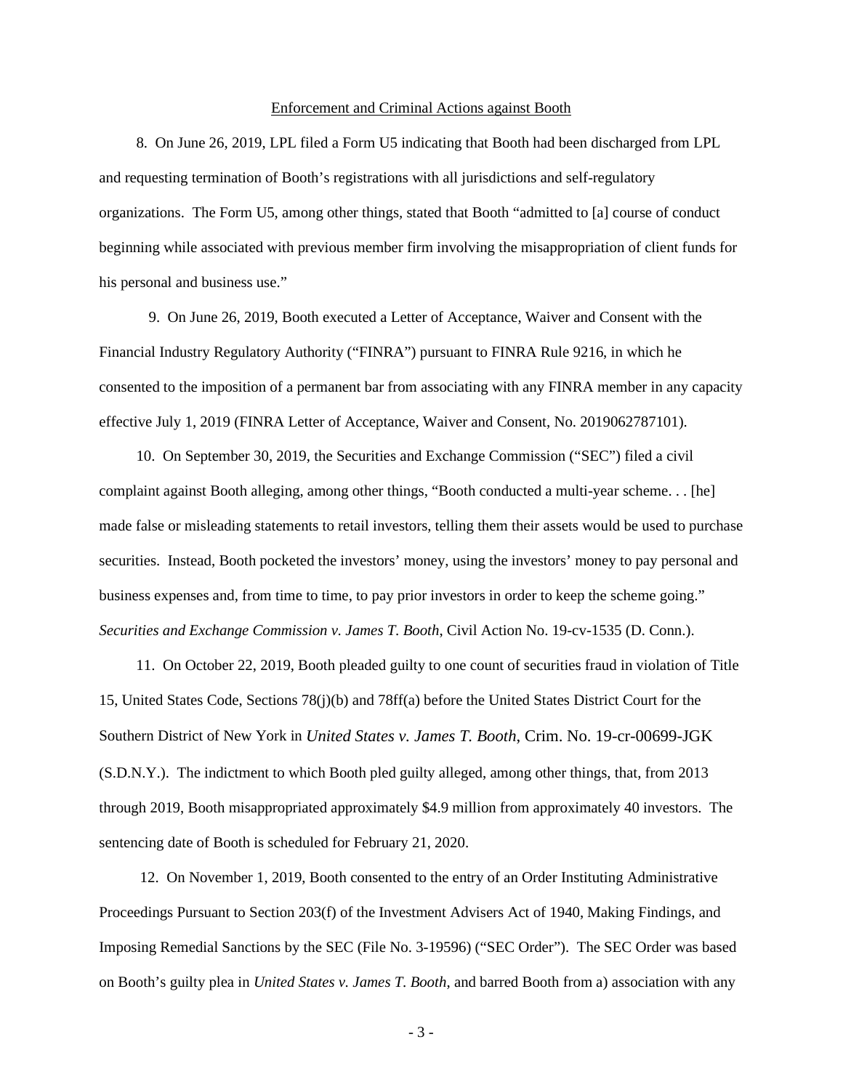#### Enforcement and Criminal Actions against Booth

8. On June 26, 2019, LPL filed a Form U5 indicating that Booth had been discharged from LPL and requesting termination of Booth's registrations with all jurisdictions and self-regulatory organizations. The Form U5, among other things*,* stated that Booth "admitted to [a] course of conduct beginning while associated with previous member firm involving the misappropriation of client funds for his personal and business use."

9. On June 26, 2019, Booth executed a Letter of Acceptance, Waiver and Consent with the Financial Industry Regulatory Authority ("FINRA") pursuant to FINRA Rule 9216, in which he consented to the imposition of a permanent bar from associating with any FINRA member in any capacity effective July 1, 2019 (FINRA Letter of Acceptance, Waiver and Consent, No. 2019062787101).

10. On September 30, 2019, the Securities and Exchange Commission ("SEC") filed a civil complaint against Booth alleging, among other things, "Booth conducted a multi-year scheme. . . [he] made false or misleading statements to retail investors, telling them their assets would be used to purchase securities. Instead, Booth pocketed the investors' money, using the investors' money to pay personal and business expenses and, from time to time, to pay prior investors in order to keep the scheme going." *Securities and Exchange Commission v. James T. Booth*, Civil Action No. 19-cv-1535 (D. Conn.).

11. On October 22, 2019, Booth pleaded guilty to one count of securities fraud in violation of Title 15, United States Code, Sections 78(j)(b) and 78ff(a) before the United States District Court for the Southern District of New York in *United States v. James T. Booth*, Crim. No. 19-cr-00699-JGK (S.D.N.Y.). The indictment to which Booth pled guilty alleged, among other things, that, from 2013 through 2019, Booth misappropriated approximately \$4.9 million from approximately 40 investors. The sentencing date of Booth is scheduled for February 21, 2020.

12. On November 1, 2019, Booth consented to the entry of an Order Instituting Administrative Proceedings Pursuant to Section 203(f) of the Investment Advisers Act of 1940, Making Findings, and Imposing Remedial Sanctions by the SEC (File No. 3-19596) ("SEC Order"). The SEC Order was based on Booth's guilty plea in *United States v. James T. Booth*, and barred Booth from a) association with any

- 3 -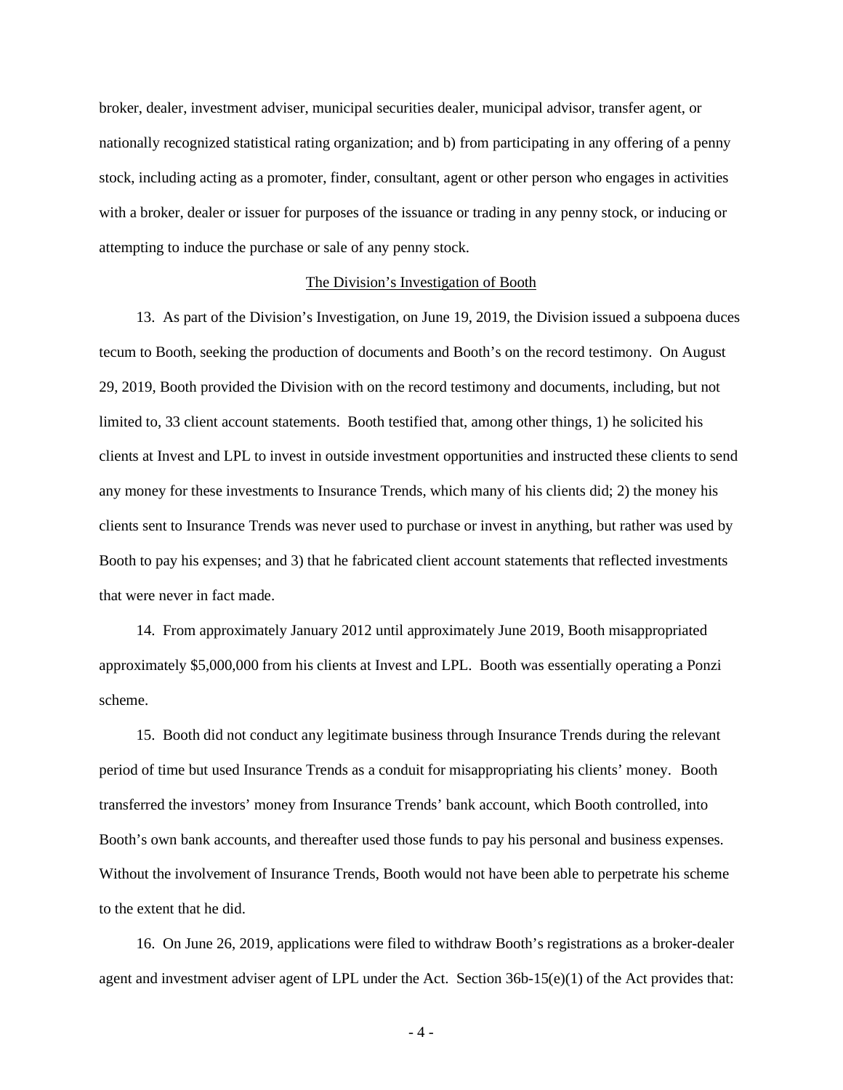broker, dealer, investment adviser, municipal securities dealer, municipal advisor, transfer agent, or nationally recognized statistical rating organization; and b) from participating in any offering of a penny stock, including acting as a promoter, finder, consultant, agent or other person who engages in activities with a broker, dealer or issuer for purposes of the issuance or trading in any penny stock, or inducing or attempting to induce the purchase or sale of any penny stock.

#### The Division's Investigation of Booth

13. As part of the Division's Investigation, on June 19, 2019, the Division issued a subpoena duces tecum to Booth, seeking the production of documents and Booth's on the record testimony. On August 29, 2019, Booth provided the Division with on the record testimony and documents, including, but not limited to, 33 client account statements. Booth testified that, among other things, 1) he solicited his clients at Invest and LPL to invest in outside investment opportunities and instructed these clients to send any money for these investments to Insurance Trends, which many of his clients did; 2) the money his clients sent to Insurance Trends was never used to purchase or invest in anything, but rather was used by Booth to pay his expenses; and 3) that he fabricated client account statements that reflected investments that were never in fact made.

14. From approximately January 2012 until approximately June 2019, Booth misappropriated approximately \$5,000,000 from his clients at Invest and LPL. Booth was essentially operating a Ponzi scheme.

15. Booth did not conduct any legitimate business through Insurance Trends during the relevant period of time but used Insurance Trends as a conduit for misappropriating his clients' money. Booth transferred the investors' money from Insurance Trends' bank account, which Booth controlled, into Booth's own bank accounts, and thereafter used those funds to pay his personal and business expenses. Without the involvement of Insurance Trends, Booth would not have been able to perpetrate his scheme to the extent that he did.

16. On June 26, 2019, applications were filed to withdraw Booth's registrations as a broker-dealer agent and investment adviser agent of LPL under the Act. Section 36b-15(e)(1) of the Act provides that:

- 4 -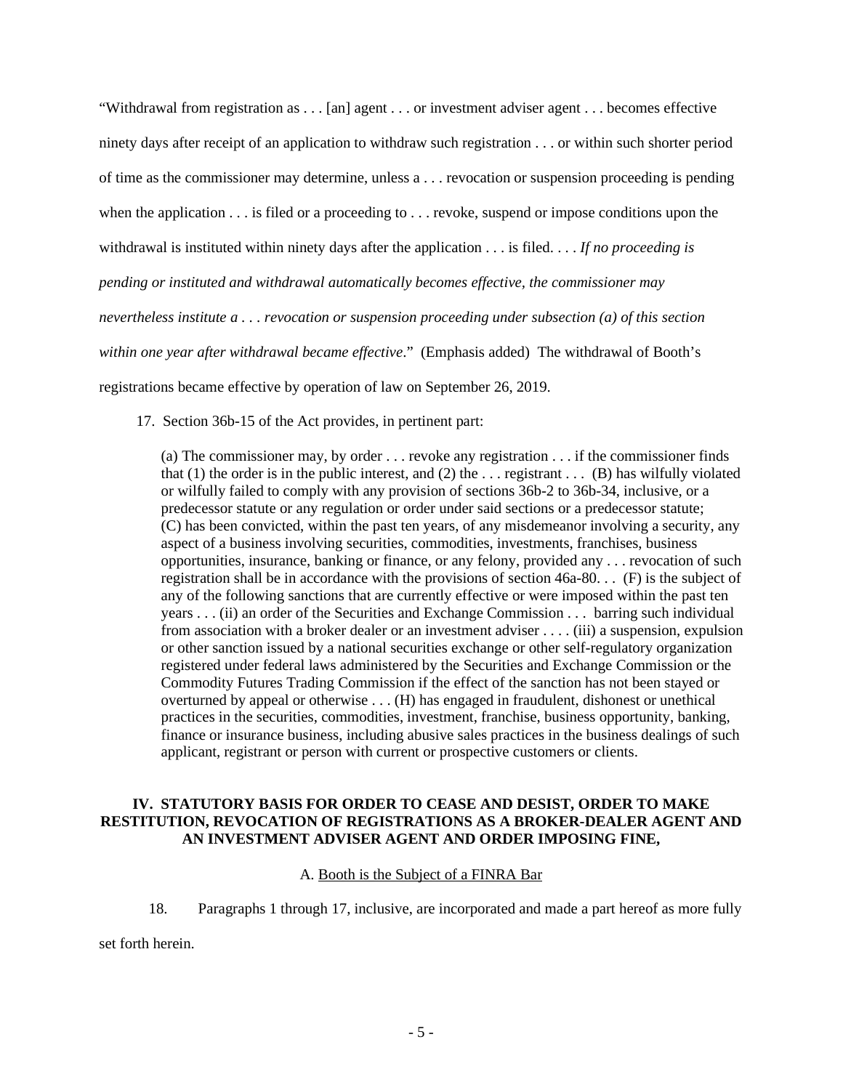"Withdrawal from registration as . . . [an] agent . . . or investment adviser agent . . . becomes effective ninety days after receipt of an application to withdraw such registration . . . or within such shorter period of time as the commissioner may determine, unless a . . . revocation or suspension proceeding is pending when the application . . . is filed or a proceeding to . . . revoke, suspend or impose conditions upon the withdrawal is instituted within ninety days after the application . . . is filed. . . . *If no proceeding is pending or instituted and withdrawal automatically becomes effective, the commissioner may nevertheless institute a . . . revocation or suspension proceeding under subsection (a) of this section within one year after withdrawal became effective*." (Emphasis added) The withdrawal of Booth's registrations became effective by operation of law on September 26, 2019.

17. Section 36b-15 of the Act provides, in pertinent part:

(a) The commissioner may, by order . . . revoke any registration . . . if the commissioner finds that (1) the order is in the public interest, and (2) the  $\dots$  registrant  $\dots$  (B) has wilfully violated or wilfully failed to comply with any provision of sections 36b-2 to 36b-34, inclusive, or a predecessor statute or any regulation or order under said sections or a predecessor statute; (C) has been convicted, within the past ten years, of any misdemeanor involving a security, any aspect of a business involving securities, commodities, investments, franchises, business opportunities, insurance, banking or finance, or any felony, provided any . . . revocation of such registration shall be in accordance with the provisions of section 46a-80. . . (F) is the subject of any of the following sanctions that are currently effective or were imposed within the past ten years . . . (ii) an order of the Securities and Exchange Commission . . . barring such individual from association with a broker dealer or an investment adviser . . . . (iii) a suspension, expulsion or other sanction issued by a national securities exchange or other self-regulatory organization registered under federal laws administered by the Securities and Exchange Commission or the Commodity Futures Trading Commission if the effect of the sanction has not been stayed or overturned by appeal or otherwise . . . (H) has engaged in fraudulent, dishonest or unethical practices in the securities, commodities, investment, franchise, business opportunity, banking, finance or insurance business, including abusive sales practices in the business dealings of such applicant, registrant or person with current or prospective customers or clients.

### **IV. STATUTORY BASIS FOR ORDER TO CEASE AND DESIST, ORDER TO MAKE RESTITUTION, REVOCATION OF REGISTRATIONS AS A BROKER-DEALER AGENT AND AN INVESTMENT ADVISER AGENT AND ORDER IMPOSING FINE,**

## A. Booth is the Subject of a FINRA Bar

18. Paragraphs 1 through 17, inclusive, are incorporated and made a part hereof as more fully

set forth herein.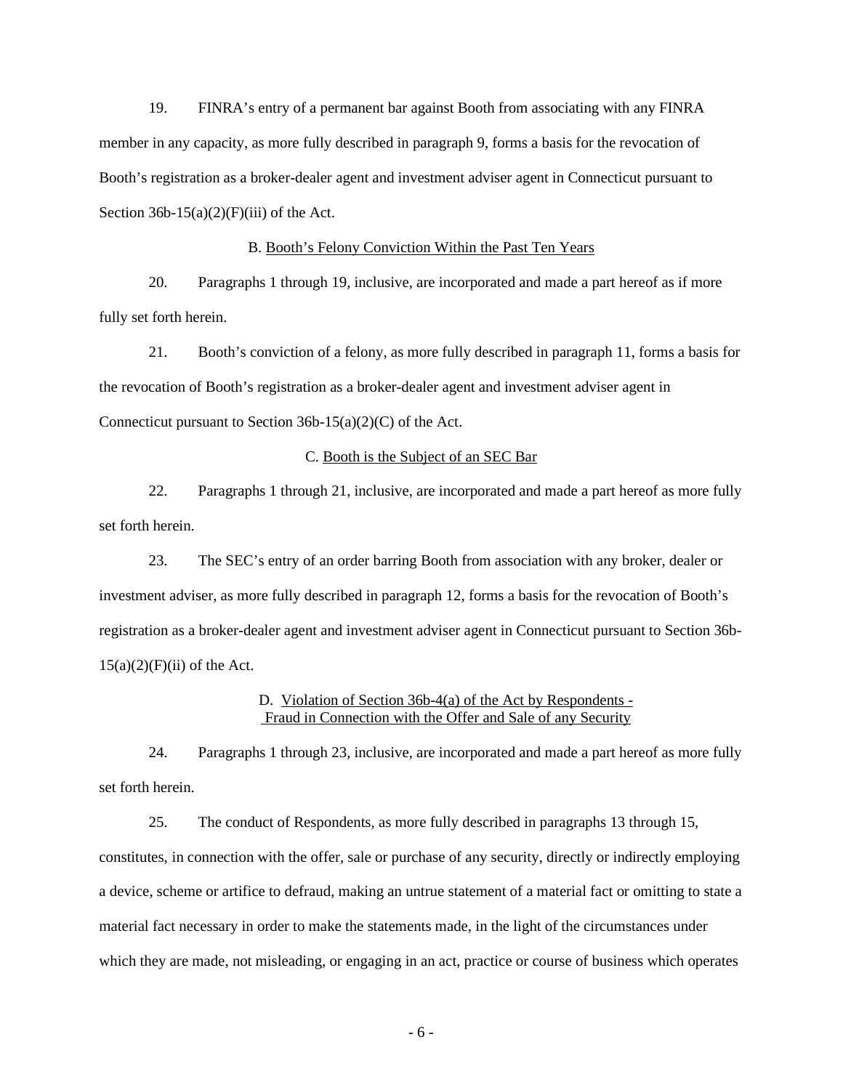19. FINRA's entry of a permanent bar against Booth from associating with any FINRA member in any capacity, as more fully described in paragraph 9, forms a basis for the revocation of Booth's registration as a broker-dealer agent and investment adviser agent in Connecticut pursuant to Section  $36b-15(a)(2)(F)(iii)$  of the Act.

#### B. Booth's Felony Conviction Within the Past Ten Years

20. Paragraphs 1 through 19, inclusive, are incorporated and made a part hereof as if more fully set forth herein.

21. Booth's conviction of a felony, as more fully described in paragraph 11, forms a basis for the revocation of Booth's registration as a broker-dealer agent and investment adviser agent in Connecticut pursuant to Section 36b-15(a)(2)(C) of the Act.

#### C. Booth is the Subject of an SEC Bar

22. Paragraphs 1 through 21, inclusive, are incorporated and made a part hereof as more fully set forth herein.

23. The SEC's entry of an order barring Booth from association with any broker, dealer or investment adviser, as more fully described in paragraph 12, forms a basis for the revocation of Booth's registration as a broker-dealer agent and investment adviser agent in Connecticut pursuant to Section 36b- $15(a)(2)(F)(ii)$  of the Act.

## D. Violation of Section 36b-4(a) of the Act by Respondents - Fraud in Connection with the Offer and Sale of any Security

24. Paragraphs 1 through 23, inclusive, are incorporated and made a part hereof as more fully set forth herein.

25. The conduct of Respondents, as more fully described in paragraphs 13 through 15, constitutes, in connection with the offer, sale or purchase of any security, directly or indirectly employing a device, scheme or artifice to defraud, making an untrue statement of a material fact or omitting to state a material fact necessary in order to make the statements made, in the light of the circumstances under which they are made, not misleading, or engaging in an act, practice or course of business which operates

- 6 -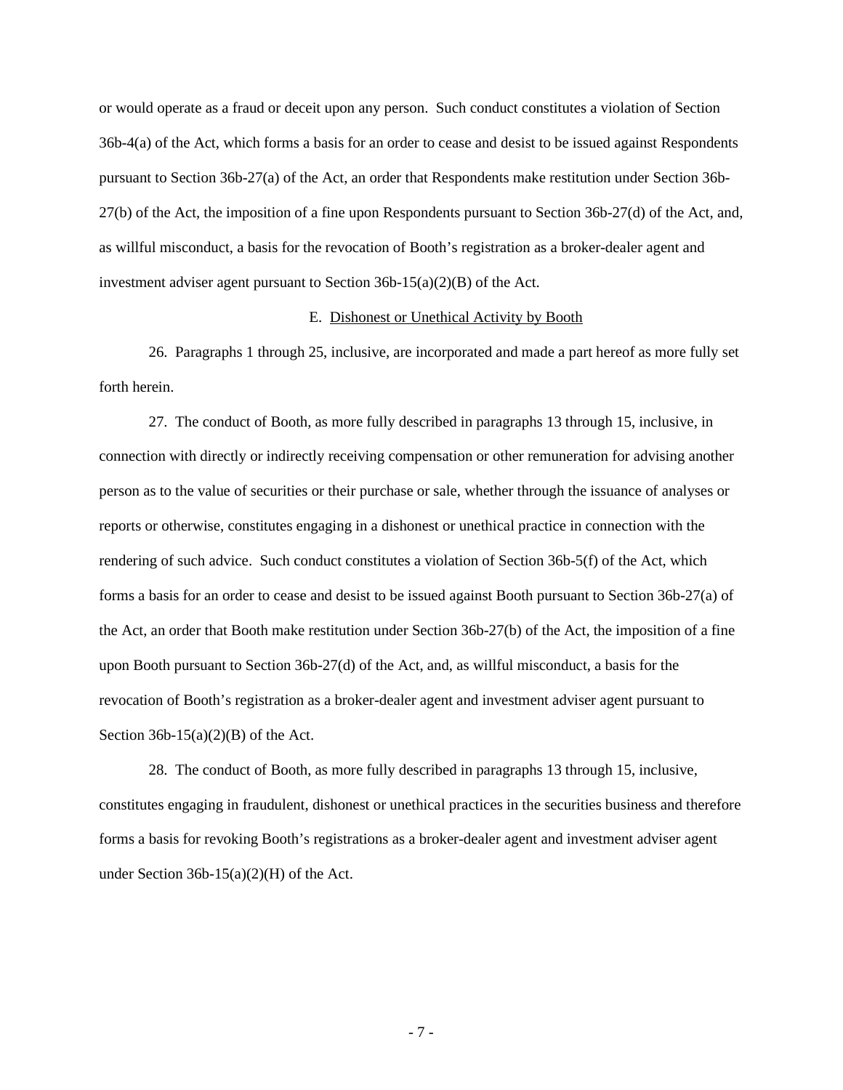or would operate as a fraud or deceit upon any person. Such conduct constitutes a violation of Section 36b-4(a) of the Act, which forms a basis for an order to cease and desist to be issued against Respondents pursuant to Section 36b-27(a) of the Act, an order that Respondents make restitution under Section 36b-27(b) of the Act, the imposition of a fine upon Respondents pursuant to Section 36b-27(d) of the Act, and, as willful misconduct, a basis for the revocation of Booth's registration as a broker-dealer agent and investment adviser agent pursuant to Section 36b-15(a)(2)(B) of the Act.

### E. Dishonest or Unethical Activity by Booth

26. Paragraphs 1 through 25, inclusive, are incorporated and made a part hereof as more fully set forth herein.

27. The conduct of Booth, as more fully described in paragraphs 13 through 15, inclusive, in connection with directly or indirectly receiving compensation or other remuneration for advising another person as to the value of securities or their purchase or sale, whether through the issuance of analyses or reports or otherwise, constitutes engaging in a dishonest or unethical practice in connection with the rendering of such advice. Such conduct constitutes a violation of Section 36b-5(f) of the Act, which forms a basis for an order to cease and desist to be issued against Booth pursuant to Section 36b-27(a) of the Act, an order that Booth make restitution under Section 36b-27(b) of the Act, the imposition of a fine upon Booth pursuant to Section 36b-27(d) of the Act, and, as willful misconduct, a basis for the revocation of Booth's registration as a broker-dealer agent and investment adviser agent pursuant to Section  $36b-15(a)(2)(B)$  of the Act.

28. The conduct of Booth, as more fully described in paragraphs 13 through 15, inclusive, constitutes engaging in fraudulent, dishonest or unethical practices in the securities business and therefore forms a basis for revoking Booth's registrations as a broker-dealer agent and investment adviser agent under Section 36b-15(a)(2)(H) of the Act.

- 7 -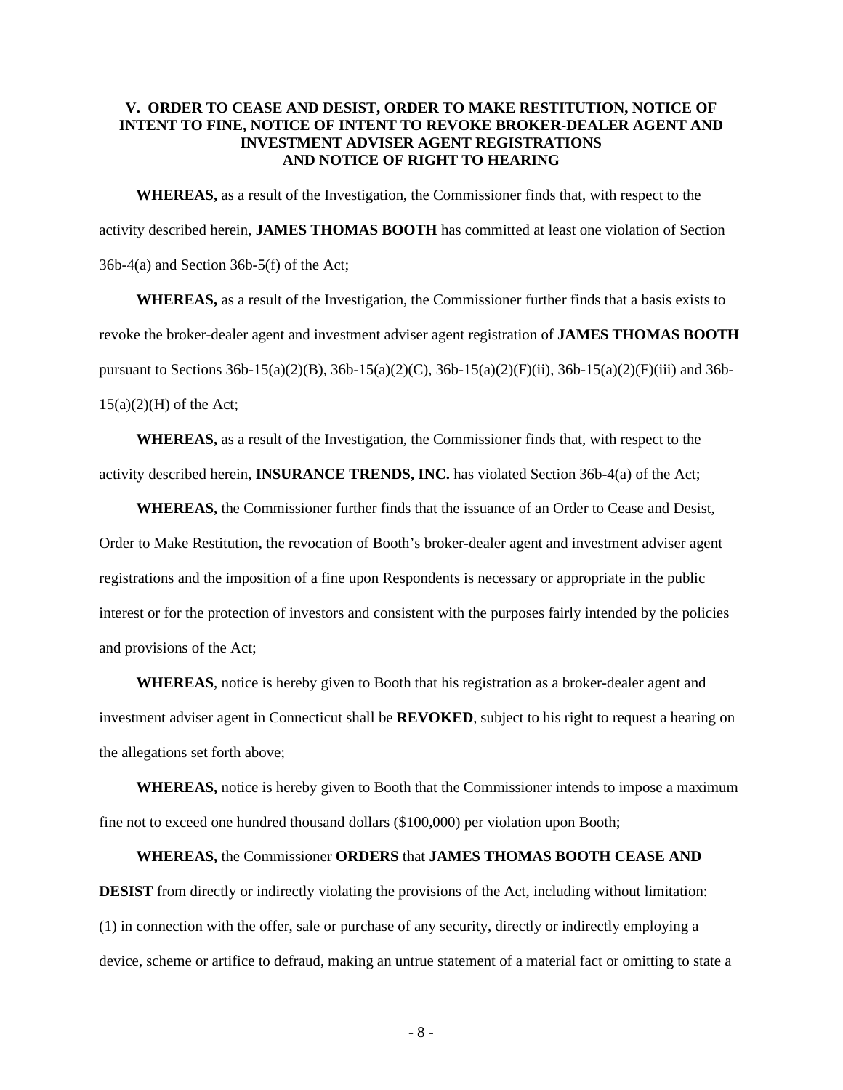## **V. ORDER TO CEASE AND DESIST, ORDER TO MAKE RESTITUTION, NOTICE OF INTENT TO FINE, NOTICE OF INTENT TO REVOKE BROKER-DEALER AGENT AND INVESTMENT ADVISER AGENT REGISTRATIONS AND NOTICE OF RIGHT TO HEARING**

**WHEREAS,** as a result of the Investigation, the Commissioner finds that, with respect to the activity described herein, **JAMES THOMAS BOOTH** has committed at least one violation of Section 36b-4(a) and Section 36b-5(f) of the Act;

**WHEREAS,** as a result of the Investigation, the Commissioner further finds that a basis exists to revoke the broker-dealer agent and investment adviser agent registration of **JAMES THOMAS BOOTH**  pursuant to Sections 36b-15(a)(2)(B), 36b-15(a)(2)(C), 36b-15(a)(2)(F)(ii), 36b-15(a)(2)(F)(iii) and 36b- $15(a)(2)(H)$  of the Act;

**WHEREAS,** as a result of the Investigation, the Commissioner finds that, with respect to the activity described herein, **INSURANCE TRENDS, INC.** has violated Section 36b-4(a) of the Act;

**WHEREAS,** the Commissioner further finds that the issuance of an Order to Cease and Desist, Order to Make Restitution, the revocation of Booth's broker-dealer agent and investment adviser agent registrations and the imposition of a fine upon Respondents is necessary or appropriate in the public interest or for the protection of investors and consistent with the purposes fairly intended by the policies and provisions of the Act;

**WHEREAS**, notice is hereby given to Booth that his registration as a broker-dealer agent and investment adviser agent in Connecticut shall be **REVOKED**, subject to his right to request a hearing on the allegations set forth above;

**WHEREAS,** notice is hereby given to Booth that the Commissioner intends to impose a maximum fine not to exceed one hundred thousand dollars (\$100,000) per violation upon Booth;

**WHEREAS,** the Commissioner **ORDERS** that **JAMES THOMAS BOOTH CEASE AND DESIST** from directly or indirectly violating the provisions of the Act, including without limitation: (1) in connection with the offer, sale or purchase of any security, directly or indirectly employing a device, scheme or artifice to defraud, making an untrue statement of a material fact or omitting to state a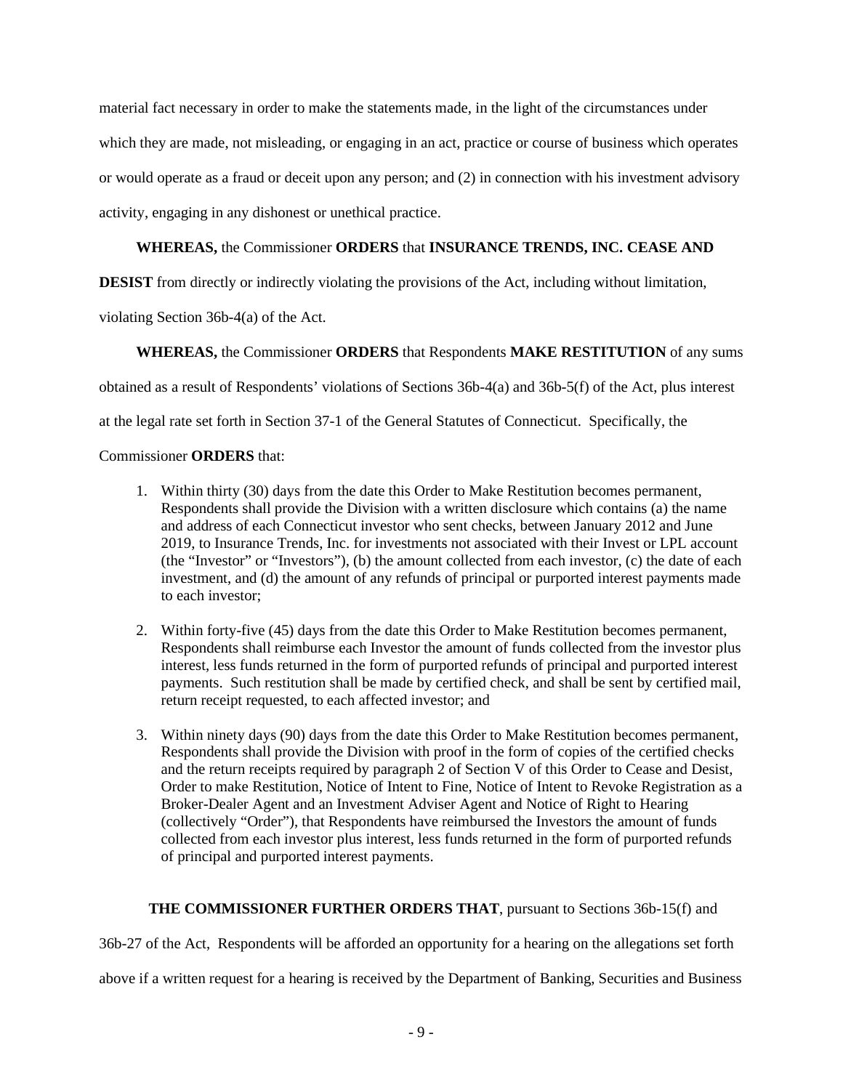material fact necessary in order to make the statements made, in the light of the circumstances under which they are made, not misleading, or engaging in an act, practice or course of business which operates or would operate as a fraud or deceit upon any person; and (2) in connection with his investment advisory activity, engaging in any dishonest or unethical practice.

## **WHEREAS,** the Commissioner **ORDERS** that **INSURANCE TRENDS, INC. CEASE AND**

**DESIST** from directly or indirectly violating the provisions of the Act, including without limitation,

violating Section 36b-4(a) of the Act.

**WHEREAS,** the Commissioner **ORDERS** that Respondents **MAKE RESTITUTION** of any sums

obtained as a result of Respondents' violations of Sections 36b-4(a) and 36b-5(f) of the Act, plus interest

at the legal rate set forth in Section 37-1 of the General Statutes of Connecticut. Specifically, the

## Commissioner **ORDERS** that:

- 1. Within thirty (30) days from the date this Order to Make Restitution becomes permanent, Respondents shall provide the Division with a written disclosure which contains (a) the name and address of each Connecticut investor who sent checks, between January 2012 and June 2019, to Insurance Trends, Inc. for investments not associated with their Invest or LPL account (the "Investor" or "Investors"), (b) the amount collected from each investor, (c) the date of each investment, and (d) the amount of any refunds of principal or purported interest payments made to each investor;
- 2. Within forty-five (45) days from the date this Order to Make Restitution becomes permanent, Respondents shall reimburse each Investor the amount of funds collected from the investor plus interest, less funds returned in the form of purported refunds of principal and purported interest payments. Such restitution shall be made by certified check, and shall be sent by certified mail, return receipt requested, to each affected investor; and
- 3. Within ninety days (90) days from the date this Order to Make Restitution becomes permanent, Respondents shall provide the Division with proof in the form of copies of the certified checks and the return receipts required by paragraph 2 of Section V of this Order to Cease and Desist, Order to make Restitution, Notice of Intent to Fine, Notice of Intent to Revoke Registration as a Broker-Dealer Agent and an Investment Adviser Agent and Notice of Right to Hearing (collectively "Order"), that Respondents have reimbursed the Investors the amount of funds collected from each investor plus interest, less funds returned in the form of purported refunds of principal and purported interest payments.

# **THE COMMISSIONER FURTHER ORDERS THAT**, pursuant to Sections 36b-15(f) and

36b-27 of the Act, Respondents will be afforded an opportunity for a hearing on the allegations set forth

above if a written request for a hearing is received by the Department of Banking, Securities and Business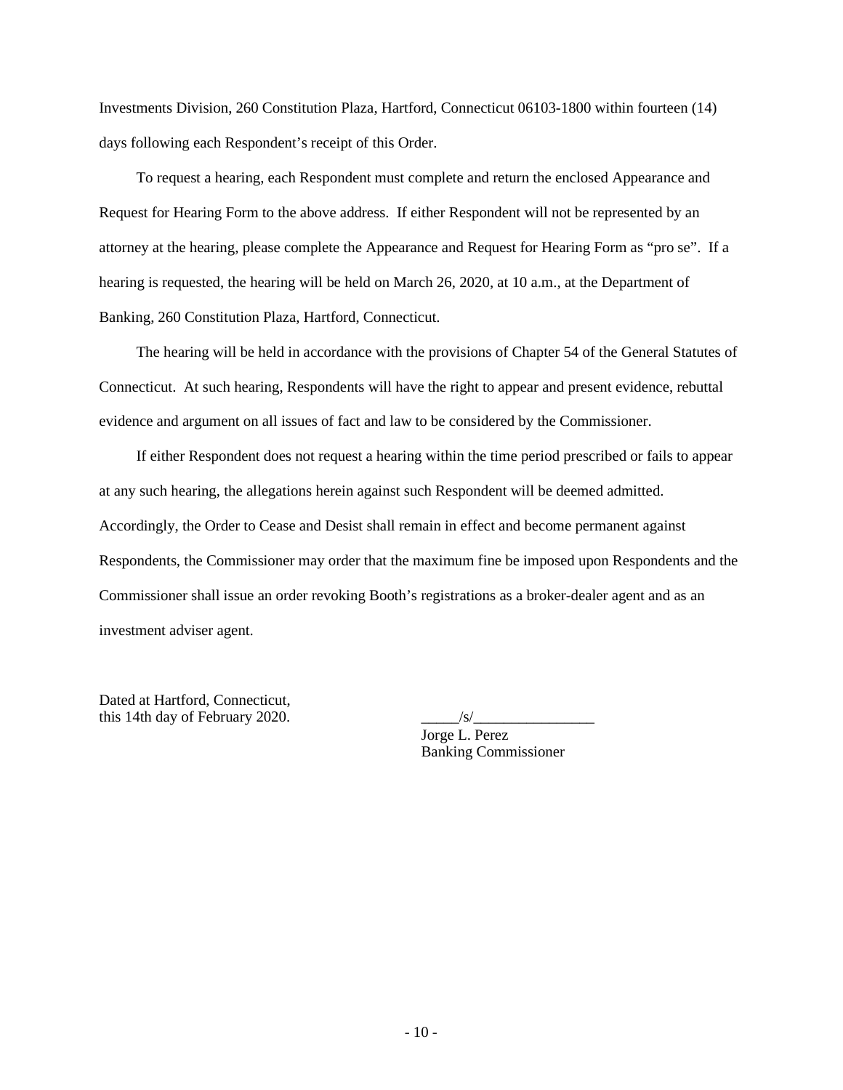Investments Division, 260 Constitution Plaza, Hartford, Connecticut 06103-1800 within fourteen (14) days following each Respondent's receipt of this Order.

To request a hearing, each Respondent must complete and return the enclosed Appearance and Request for Hearing Form to the above address. If either Respondent will not be represented by an attorney at the hearing, please complete the Appearance and Request for Hearing Form as "pro se". If a hearing is requested, the hearing will be held on March 26, 2020, at 10 a.m., at the Department of Banking, 260 Constitution Plaza, Hartford, Connecticut.

The hearing will be held in accordance with the provisions of Chapter 54 of the General Statutes of Connecticut. At such hearing, Respondents will have the right to appear and present evidence, rebuttal evidence and argument on all issues of fact and law to be considered by the Commissioner.

If either Respondent does not request a hearing within the time period prescribed or fails to appear at any such hearing, the allegations herein against such Respondent will be deemed admitted. Accordingly, the Order to Cease and Desist shall remain in effect and become permanent against Respondents, the Commissioner may order that the maximum fine be imposed upon Respondents and the Commissioner shall issue an order revoking Booth's registrations as a broker-dealer agent and as an investment adviser agent.

Dated at Hartford, Connecticut, this 14th day of February 2020.  $\frac{1}{s}$ 

Jorge L. Perez Banking Commissioner